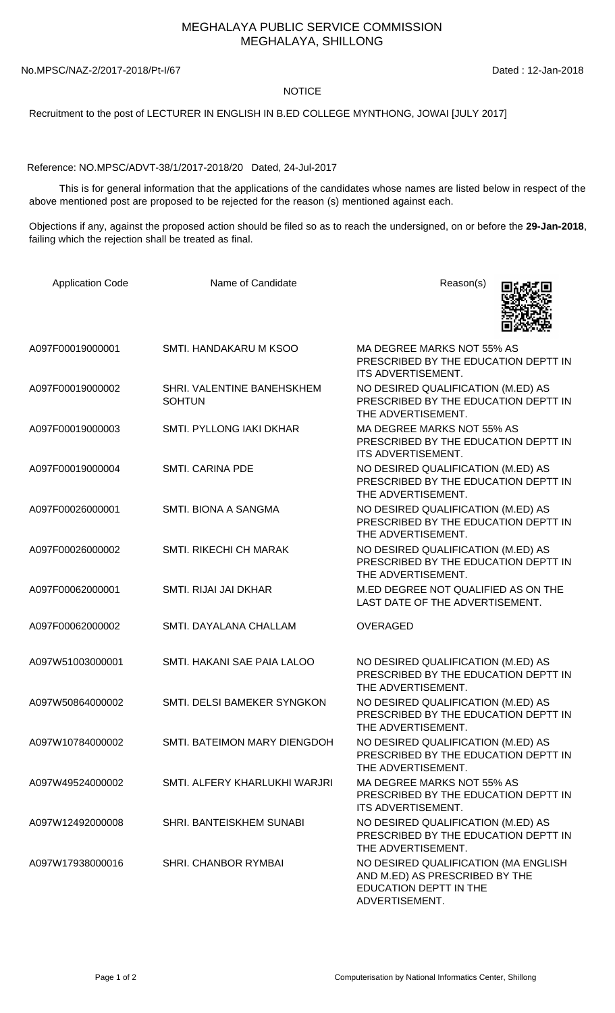## MEGHALAYA PUBLIC SERVICE COMMISSION MEGHALAYA, SHILLONG

No.MPSC/NAZ-2/2017-2018/Pt-I/67 Dated : 12-Jan-2018

## **NOTICE**

Recruitment to the post of LECTURER IN ENGLISH IN B.ED COLLEGE MYNTHONG, JOWAI [JULY 2017]

Reference: NO.MPSC/ADVT-38/1/2017-2018/20 Dated, 24-Jul-2017

 This is for general information that the applications of the candidates whose names are listed below in respect of the above mentioned post are proposed to be rejected for the reason (s) mentioned against each.

Objections if any, against the proposed action should be filed so as to reach the undersigned, on or before the **29-Jan-2018**, failing which the rejection shall be treated as final.

| <b>Application Code</b> | Name of Candidate                           | Reason(s)                                                                                                          |
|-------------------------|---------------------------------------------|--------------------------------------------------------------------------------------------------------------------|
| A097F00019000001        | SMTI. HANDAKARU M KSOO                      | MA DEGREE MARKS NOT 55% AS<br>PRESCRIBED BY THE EDUCATION DEPTT IN<br>ITS ADVERTISEMENT.                           |
| A097F00019000002        | SHRI. VALENTINE BANEHSKHEM<br><b>SOHTUN</b> | NO DESIRED QUALIFICATION (M.ED) AS<br>PRESCRIBED BY THE EDUCATION DEPTT IN<br>THE ADVERTISEMENT.                   |
| A097F00019000003        | SMTI. PYLLONG IAKI DKHAR                    | MA DEGREE MARKS NOT 55% AS<br>PRESCRIBED BY THE EDUCATION DEPTT IN<br>ITS ADVERTISEMENT.                           |
| A097F00019000004        | <b>SMTI. CARINA PDE</b>                     | NO DESIRED QUALIFICATION (M.ED) AS<br>PRESCRIBED BY THE EDUCATION DEPTT IN<br>THE ADVERTISEMENT.                   |
| A097F00026000001        | SMTI. BIONA A SANGMA                        | NO DESIRED QUALIFICATION (M.ED) AS<br>PRESCRIBED BY THE EDUCATION DEPTT IN<br>THE ADVERTISEMENT.                   |
| A097F00026000002        | <b>SMTI. RIKECHI CH MARAK</b>               | NO DESIRED QUALIFICATION (M.ED) AS<br>PRESCRIBED BY THE EDUCATION DEPTT IN<br>THE ADVERTISEMENT.                   |
| A097F00062000001        | SMTI. RIJAI JAI DKHAR                       | M.ED DEGREE NOT QUALIFIED AS ON THE<br>LAST DATE OF THE ADVERTISEMENT.                                             |
| A097F00062000002        | SMTI. DAYALANA CHALLAM                      | <b>OVERAGED</b>                                                                                                    |
| A097W51003000001        | SMTI. HAKANI SAE PAIA LALOO                 | NO DESIRED QUALIFICATION (M.ED) AS<br>PRESCRIBED BY THE EDUCATION DEPTT IN<br>THE ADVERTISEMENT.                   |
| A097W50864000002        | SMTI. DELSI BAMEKER SYNGKON                 | NO DESIRED QUALIFICATION (M.ED) AS<br>PRESCRIBED BY THE EDUCATION DEPTT IN<br>THE ADVERTISEMENT.                   |
| A097W10784000002        | SMTI. BATEIMON MARY DIENGDOH                | NO DESIRED QUALIFICATION (M.ED) AS<br>PRESCRIBED BY THE EDUCATION DEPTT IN<br>THE ADVERTISEMENT.                   |
| A097W49524000002        | SMTI. ALFERY KHARLUKHI WARJRI               | MA DEGREE MARKS NOT 55% AS<br>PRESCRIBED BY THE EDUCATION DEPTT IN<br>ITS ADVERTISEMENT.                           |
| A097W12492000008        | SHRI. BANTEISKHEM SUNABI                    | NO DESIRED QUALIFICATION (M.ED) AS<br>PRESCRIBED BY THE EDUCATION DEPTT IN<br>THE ADVERTISEMENT.                   |
| A097W17938000016        | <b>SHRI. CHANBOR RYMBAI</b>                 | NO DESIRED QUALIFICATION (MA ENGLISH<br>AND M.ED) AS PRESCRIBED BY THE<br>EDUCATION DEPTT IN THE<br>ADVERTISEMENT. |